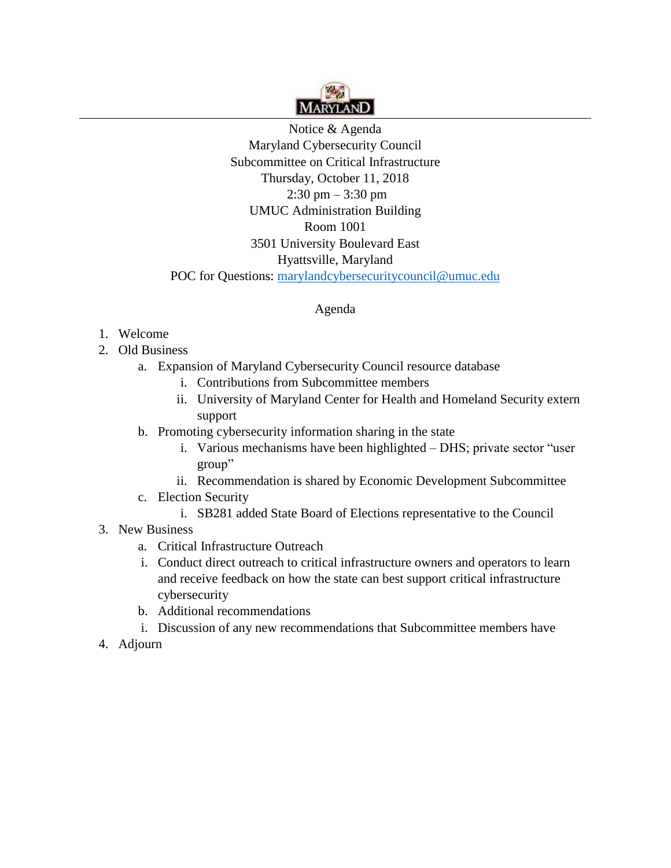

Notice & Agenda Maryland Cybersecurity Council Subcommittee on Critical Infrastructure Thursday, October 11, 2018 2:30 pm – 3:30 pm UMUC Administration Building Room 1001 3501 University Boulevard East Hyattsville, Maryland POC for Questions: marylandcybersecuritycouncil@umuc.edu

## Agenda

## 1. Welcome

- 2. Old Business
	- a. Expansion of Maryland Cybersecurity Council resource database
		- i. Contributions from Subcommittee members
		- ii. University of Maryland Center for Health and Homeland Security extern support
	- b. Promoting cybersecurity information sharing in the state
		- i. Various mechanisms have been highlighted DHS; private sector "user group"
		- ii. Recommendation is shared by Economic Development Subcommittee
	- c. Election Security
		- i. SB281 added State Board of Elections representative to the Council
- 3. New Business
	- a. Critical Infrastructure Outreach
	- i. Conduct direct outreach to critical infrastructure owners and operators to learn and receive feedback on how the state can best support critical infrastructure cybersecurity
	- b. Additional recommendations
	- i. Discussion of any new recommendations that Subcommittee members have
- 4. Adjourn